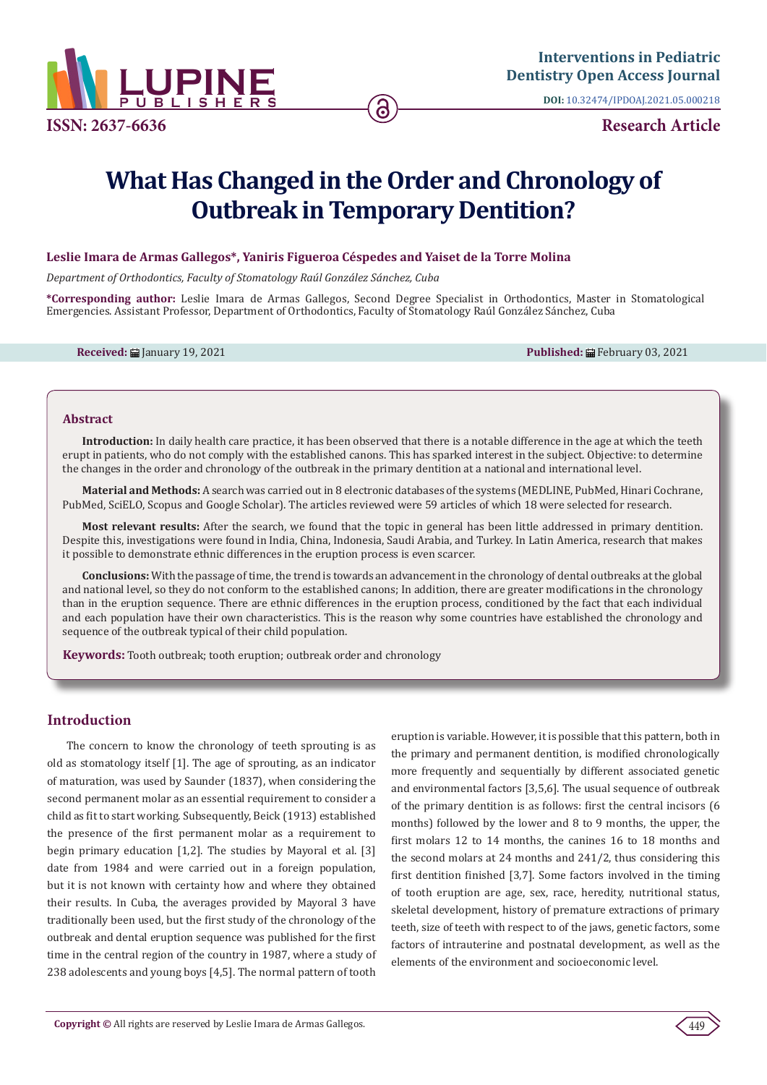

**Interventions in Pediatric [Dentistry Open Access Journal](https://www.lupinepublishers.com/pediatric-dentistry-journal/)**

**DOI:** [10.32474/IPDOAJ.2021.05.000218](http://dx.doi.org/10.32474/IPDOAJ.2021.05.000217)

# **What Has Changed in the Order and Chronology of Outbreak in Temporary Dentition?**

### **Leslie Imara de Armas Gallegos\*, Yaniris Figueroa Céspedes and Yaiset de la Torre Molina**

*Department of Orthodontics, Faculty of Stomatology Raúl González Sánchez, Cuba*

**\*Corresponding author:** Leslie Imara de Armas Gallegos, Second Degree Specialist in Orthodontics, Master in Stomatological Emergencies. Assistant Professor, Department of Orthodontics, Faculty of Stomatology Raúl González Sánchez, Cuba

**Received:** ■ January 19, 2021 **Published:** ■ February 03, 2021 **Published:** ■ February 03, 2021

#### **Abstract**

**Introduction:** In daily health care practice, it has been observed that there is a notable difference in the age at which the teeth erupt in patients, who do not comply with the established canons. This has sparked interest in the subject. Objective: to determine the changes in the order and chronology of the outbreak in the primary dentition at a national and international level.

**Material and Methods:** A search was carried out in 8 electronic databases of the systems (MEDLINE, PubMed, Hinari Cochrane, PubMed, SciELO, Scopus and Google Scholar). The articles reviewed were 59 articles of which 18 were selected for research.

**Most relevant results:** After the search, we found that the topic in general has been little addressed in primary dentition. Despite this, investigations were found in India, China, Indonesia, Saudi Arabia, and Turkey. In Latin America, research that makes it possible to demonstrate ethnic differences in the eruption process is even scarcer.

**Conclusions:** With the passage of time, the trend is towards an advancement in the chronology of dental outbreaks at the global and national level, so they do not conform to the established canons; In addition, there are greater modifications in the chronology than in the eruption sequence. There are ethnic differences in the eruption process, conditioned by the fact that each individual and each population have their own characteristics. This is the reason why some countries have established the chronology and sequence of the outbreak typical of their child population.

**Keywords:** Tooth outbreak; tooth eruption; outbreak order and chronology

## **Introduction**

The concern to know the chronology of teeth sprouting is as old as stomatology itself [1]. The age of sprouting, as an indicator of maturation, was used by Saunder (1837), when considering the second permanent molar as an essential requirement to consider a child as fit to start working. Subsequently, Beick (1913) established the presence of the first permanent molar as a requirement to begin primary education [1,2]. The studies by Mayoral et al. [3] date from 1984 and were carried out in a foreign population, but it is not known with certainty how and where they obtained their results. In Cuba, the averages provided by Mayoral 3 have traditionally been used, but the first study of the chronology of the outbreak and dental eruption sequence was published for the first time in the central region of the country in 1987, where a study of 238 adolescents and young boys [4,5]. The normal pattern of tooth eruption is variable. However, it is possible that this pattern, both in the primary and permanent dentition, is modified chronologically more frequently and sequentially by different associated genetic and environmental factors [3,5,6]. The usual sequence of outbreak of the primary dentition is as follows: first the central incisors (6 months) followed by the lower and 8 to 9 months, the upper, the first molars 12 to 14 months, the canines 16 to 18 months and the second molars at 24 months and 241/2, thus considering this first dentition finished [3,7]. Some factors involved in the timing of tooth eruption are age, sex, race, heredity, nutritional status, skeletal development, history of premature extractions of primary teeth, size of teeth with respect to of the jaws, genetic factors, some factors of intrauterine and postnatal development, as well as the elements of the environment and socioeconomic level.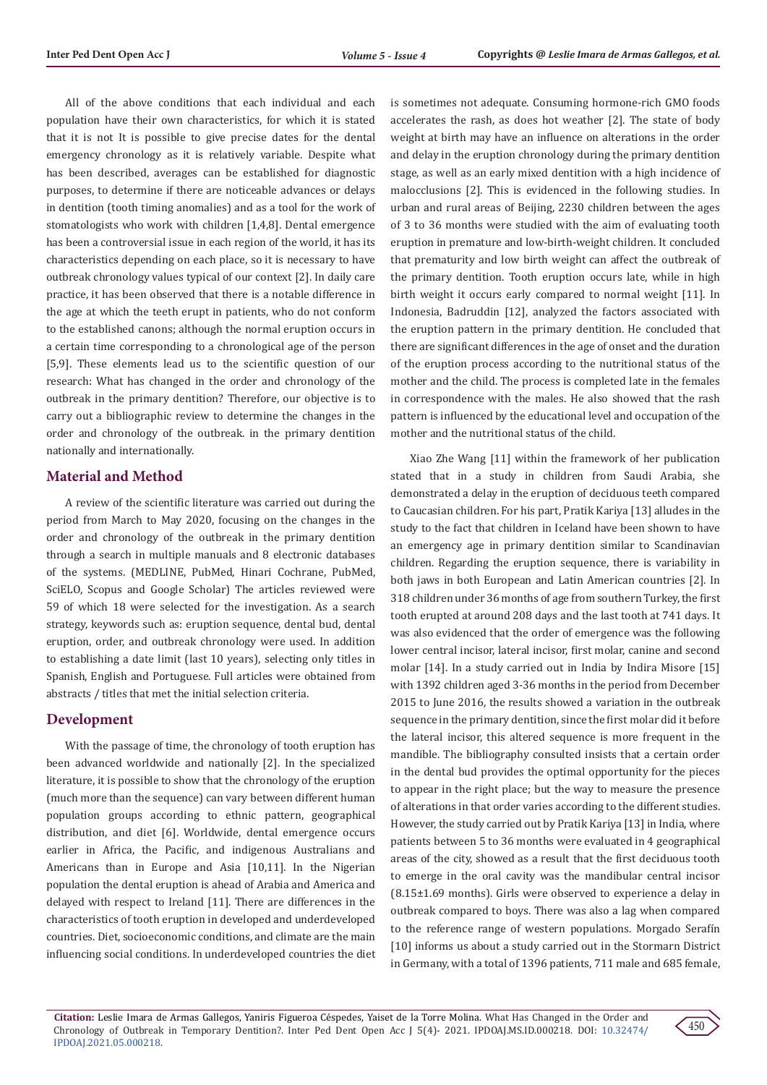All of the above conditions that each individual and each population have their own characteristics, for which it is stated that it is not It is possible to give precise dates for the dental emergency chronology as it is relatively variable. Despite what has been described, averages can be established for diagnostic purposes, to determine if there are noticeable advances or delays in dentition (tooth timing anomalies) and as a tool for the work of stomatologists who work with children [1,4,8]. Dental emergence has been a controversial issue in each region of the world, it has its characteristics depending on each place, so it is necessary to have outbreak chronology values typical of our context [2]. In daily care practice, it has been observed that there is a notable difference in the age at which the teeth erupt in patients, who do not conform to the established canons; although the normal eruption occurs in a certain time corresponding to a chronological age of the person [5,9]. These elements lead us to the scientific question of our research: What has changed in the order and chronology of the outbreak in the primary dentition? Therefore, our objective is to carry out a bibliographic review to determine the changes in the order and chronology of the outbreak. in the primary dentition nationally and internationally.

# **Material and Method**

A review of the scientific literature was carried out during the period from March to May 2020, focusing on the changes in the order and chronology of the outbreak in the primary dentition through a search in multiple manuals and 8 electronic databases of the systems. (MEDLINE, PubMed, Hinari Cochrane, PubMed, SciELO, Scopus and Google Scholar) The articles reviewed were 59 of which 18 were selected for the investigation. As a search strategy, keywords such as: eruption sequence, dental bud, dental eruption, order, and outbreak chronology were used. In addition to establishing a date limit (last 10 years), selecting only titles in Spanish, English and Portuguese. Full articles were obtained from abstracts / titles that met the initial selection criteria.

#### **Development**

With the passage of time, the chronology of tooth eruption has been advanced worldwide and nationally [2]. In the specialized literature, it is possible to show that the chronology of the eruption (much more than the sequence) can vary between different human population groups according to ethnic pattern, geographical distribution, and diet [6]. Worldwide, dental emergence occurs earlier in Africa, the Pacific, and indigenous Australians and Americans than in Europe and Asia [10,11]. In the Nigerian population the dental eruption is ahead of Arabia and America and delayed with respect to Ireland [11]. There are differences in the characteristics of tooth eruption in developed and underdeveloped countries. Diet, socioeconomic conditions, and climate are the main influencing social conditions. In underdeveloped countries the diet is sometimes not adequate. Consuming hormone-rich GMO foods accelerates the rash, as does hot weather [2]. The state of body weight at birth may have an influence on alterations in the order and delay in the eruption chronology during the primary dentition stage, as well as an early mixed dentition with a high incidence of malocclusions [2]. This is evidenced in the following studies. In urban and rural areas of Beijing, 2230 children between the ages of 3 to 36 months were studied with the aim of evaluating tooth eruption in premature and low-birth-weight children. It concluded that prematurity and low birth weight can affect the outbreak of the primary dentition. Tooth eruption occurs late, while in high birth weight it occurs early compared to normal weight [11]. In Indonesia, Badruddin [12], analyzed the factors associated with the eruption pattern in the primary dentition. He concluded that there are significant differences in the age of onset and the duration of the eruption process according to the nutritional status of the mother and the child. The process is completed late in the females in correspondence with the males. He also showed that the rash pattern is influenced by the educational level and occupation of the mother and the nutritional status of the child.

Xiao Zhe Wang [11] within the framework of her publication stated that in a study in children from Saudi Arabia, she demonstrated a delay in the eruption of deciduous teeth compared to Caucasian children. For his part, Pratik Kariya [13] alludes in the study to the fact that children in Iceland have been shown to have an emergency age in primary dentition similar to Scandinavian children. Regarding the eruption sequence, there is variability in both jaws in both European and Latin American countries [2]. In 318 children under 36 months of age from southern Turkey, the first tooth erupted at around 208 days and the last tooth at 741 days. It was also evidenced that the order of emergence was the following lower central incisor, lateral incisor, first molar, canine and second molar [14]. In a study carried out in India by Indira Misore [15] with 1392 children aged 3-36 months in the period from December 2015 to June 2016, the results showed a variation in the outbreak sequence in the primary dentition, since the first molar did it before the lateral incisor, this altered sequence is more frequent in the mandible. The bibliography consulted insists that a certain order in the dental bud provides the optimal opportunity for the pieces to appear in the right place; but the way to measure the presence of alterations in that order varies according to the different studies. However, the study carried out by Pratik Kariya [13] in India, where patients between 5 to 36 months were evaluated in 4 geographical areas of the city, showed as a result that the first deciduous tooth to emerge in the oral cavity was the mandibular central incisor (8.15±1.69 months). Girls were observed to experience a delay in outbreak compared to boys. There was also a lag when compared to the reference range of western populations. Morgado Serafín [10] informs us about a study carried out in the Stormarn District in Germany, with a total of 1396 patients, 711 male and 685 female,

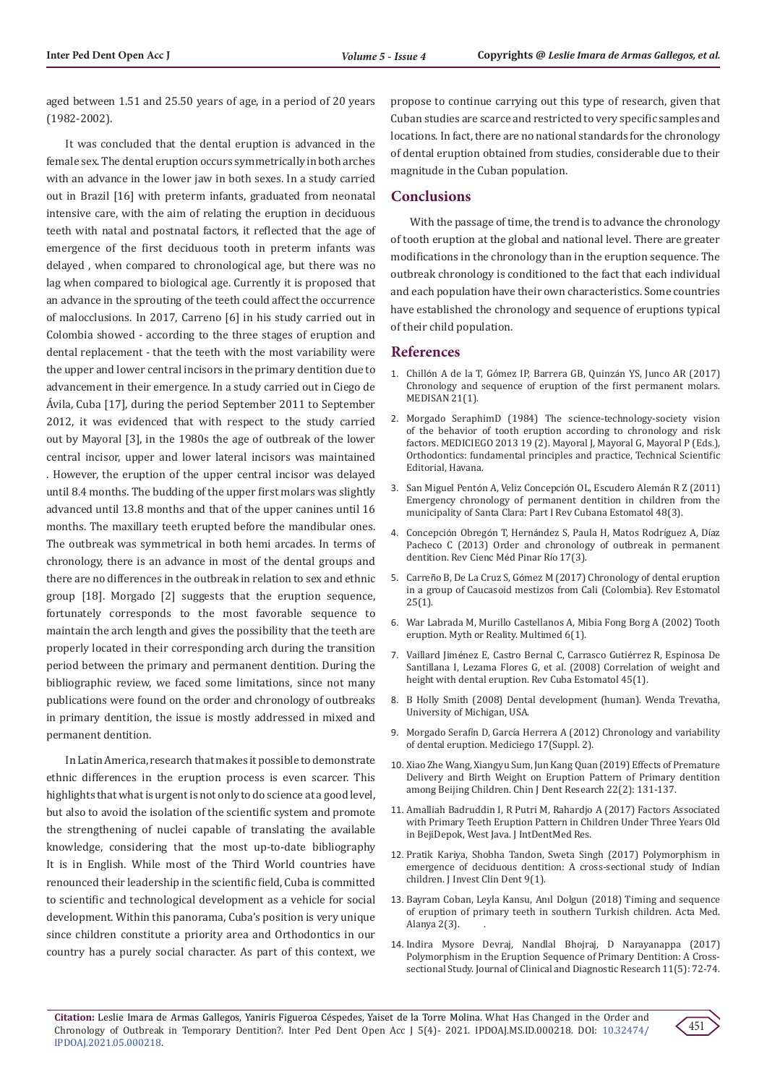aged between 1.51 and 25.50 years of age, in a period of 20 years (1982-2002).

It was concluded that the dental eruption is advanced in the female sex. The dental eruption occurs symmetrically in both arches with an advance in the lower jaw in both sexes. In a study carried out in Brazil [16] with preterm infants, graduated from neonatal intensive care, with the aim of relating the eruption in deciduous teeth with natal and postnatal factors, it reflected that the age of emergence of the first deciduous tooth in preterm infants was delayed , when compared to chronological age, but there was no lag when compared to biological age. Currently it is proposed that an advance in the sprouting of the teeth could affect the occurrence of malocclusions. In 2017, Carreno [6] in his study carried out in Colombia showed - according to the three stages of eruption and dental replacement - that the teeth with the most variability were the upper and lower central incisors in the primary dentition due to advancement in their emergence. In a study carried out in Ciego de Ávila, Cuba [17], during the period September 2011 to September 2012, it was evidenced that with respect to the study carried out by Mayoral [3], in the 1980s the age of outbreak of the lower central incisor, upper and lower lateral incisors was maintained . However, the eruption of the upper central incisor was delayed until 8.4 months. The budding of the upper first molars was slightly advanced until 13.8 months and that of the upper canines until 16 months. The maxillary teeth erupted before the mandibular ones. The outbreak was symmetrical in both hemi arcades. In terms of chronology, there is an advance in most of the dental groups and there are no differences in the outbreak in relation to sex and ethnic group [18]. Morgado [2] suggests that the eruption sequence, fortunately corresponds to the most favorable sequence to maintain the arch length and gives the possibility that the teeth are properly located in their corresponding arch during the transition period between the primary and permanent dentition. During the bibliographic review, we faced some limitations, since not many publications were found on the order and chronology of outbreaks in primary dentition, the issue is mostly addressed in mixed and permanent dentition.

In Latin America, research that makes it possible to demonstrate ethnic differences in the eruption process is even scarcer. This highlights that what is urgent is not only to do science at a good level, but also to avoid the isolation of the scientific system and promote the strengthening of nuclei capable of translating the available knowledge, considering that the most up-to-date bibliography It is in English. While most of the Third World countries have renounced their leadership in the scientific field, Cuba is committed to scientific and technological development as a vehicle for social development. Within this panorama, Cuba's position is very unique since children constitute a priority area and Orthodontics in our country has a purely social character. As part of this context, we propose to continue carrying out this type of research, given that Cuban studies are scarce and restricted to very specific samples and locations. In fact, there are no national standards for the chronology of dental eruption obtained from studies, considerable due to their magnitude in the Cuban population.

#### **Conclusions**

With the passage of time, the trend is to advance the chronology of tooth eruption at the global and national level. There are greater modifications in the chronology than in the eruption sequence. The outbreak chronology is conditioned to the fact that each individual and each population have their own characteristics. Some countries have established the chronology and sequence of eruptions typical of their child population.

#### **References**

- 1. Chilló[n A de la T, Gómez IP, Barrera GB, Quinz](http://medisan.sld.cu/index.php/san/article/view/1264)án YS, Junco AR (2017) [Chronology and sequence of eruption of the first permanent molars.](http://medisan.sld.cu/index.php/san/article/view/1264) [MEDISAN 21\(1\).](http://medisan.sld.cu/index.php/san/article/view/1264)
- 2. [Morgado SeraphimD \(1984\) The science-technology-society vision](https://www.medigraphic.com/cgi-bin/new/resumenI.cgi?IDARTICULO=46479) [of the behavior of tooth eruption according to chronology and risk](https://www.medigraphic.com/cgi-bin/new/resumenI.cgi?IDARTICULO=46479) [factors. MEDICIEGO 2013 19 \(2\). Mayoral J, Mayoral G, Mayoral P \(Eds.\),](https://www.medigraphic.com/cgi-bin/new/resumenI.cgi?IDARTICULO=46479) [Orthodontics: fundamental principles and practice, Technical Scientific](https://www.medigraphic.com/cgi-bin/new/resumenI.cgi?IDARTICULO=46479) [Editorial, Havana.](https://www.medigraphic.com/cgi-bin/new/resumenI.cgi?IDARTICULO=46479)
- 3. San Miguel Pentón A, Veliz Concepción OL, Escudero Alemán R Z (2011) Emergency chronology of permanent dentition in children from the municipality of Santa Clara: Part I Rev Cubana Estomatol 48(3).
- 4. Concepción Obregón T, Herná[ndez S, Paula H, Matos Rodr](http://scielo.sld.cu/scielo.php?script=sci_arttext&pid=S1561-%2031942013000300012%20&%20lng%20=%20es%20&%20nrm%20=%20iso%20&%20tlng%20=%20es)íguez A, Díaz [Pacheco C \(2013\) Order and chronology of outbreak in permanent](http://scielo.sld.cu/scielo.php?script=sci_arttext&pid=S1561-%2031942013000300012%20&%20lng%20=%20es%20&%20nrm%20=%20iso%20&%20tlng%20=%20es) [dentition. Rev Cienc M](http://scielo.sld.cu/scielo.php?script=sci_arttext&pid=S1561-%2031942013000300012%20&%20lng%20=%20es%20&%20nrm%20=%20iso%20&%20tlng%20=%20es)éd Pinar Río 17(3).
- 5. Carreño B, De La Cruz S, Gó[mez M \(2017\) Chronology of dental eruption](file:///G:/Journals/IPDOAJ%20(Pediatric-Dentistry-Journal)/IPDOAJ.MS.ID.000218/IPDOAJ-21-RA-222_W/IPDOAJ-21-RA-222_W/1.%09http:%20/docs.bvsalud.org/biblioref/2018/04/883172/3-carreno-%20cronologia-erupcion-mestizos.pdf) [in a group of Caucasoid mestizos from Cali \(Colombia\). Rev Estomatol](file:///G:/Journals/IPDOAJ%20(Pediatric-Dentistry-Journal)/IPDOAJ.MS.ID.000218/IPDOAJ-21-RA-222_W/IPDOAJ-21-RA-222_W/1.%09http:%20/docs.bvsalud.org/biblioref/2018/04/883172/3-carreno-%20cronologia-erupcion-mestizos.pdf)  $25(1)$ .
- 6. [War Labrada M, Murillo Castellanos A, Mibia Fong Borg A \(2002\) Tooth](http://www.multimedgrm.sld.cu/articulos/2002/v6-1/9.html) [eruption. Myth or Reality. Multimed 6\(1\).](http://www.multimedgrm.sld.cu/articulos/2002/v6-1/9.html)
- 7. Vaillard Jimé[nez E, Castro Bernal C, Carrasco Guti](http://scielo.sld.cu/scielo.php?script=sci_abstract&pid=S0034-75072008000100002)érrez R, Espinosa De [Santillana I, Lezama Flores G, et al. \(2008\) Correlation of weight and](http://scielo.sld.cu/scielo.php?script=sci_abstract&pid=S0034-75072008000100002) [height with dental eruption. Rev Cuba Estomatol 45\(1\).](http://scielo.sld.cu/scielo.php?script=sci_abstract&pid=S0034-75072008000100002)
- 8. [B Holly Smith \(2008\) Dental development \(human\). Wenda Trevatha,](file:///G:/Journals/IPDOAJ%20(Pediatric-Dentistry-Journal)/IPDOAJ.MS.ID.000218/IPDOAJ-21-RA-222_W/IPDOAJ-21-RA-222_W/1.%09https:/doi.org/10.1002/9781118584538.ieba0495) [University of Michigan, USA.](file:///G:/Journals/IPDOAJ%20(Pediatric-Dentistry-Journal)/IPDOAJ.MS.ID.000218/IPDOAJ-21-RA-222_W/IPDOAJ-21-RA-222_W/1.%09https:/doi.org/10.1002/9781118584538.ieba0495)
- 9. Morgado Serafín D, Garcí[a Herrera A \(2012\) Chronology and variability](file:///G:/Journals/IPDOAJ%20(Pediatric-Dentistry-Journal)/IPDOAJ.MS.ID.000218/IPDOAJ-21-RA-222_W/IPDOAJ-21-RA-222_W/1.%09https:/www.medigraphic.com/cgi-bin/new/resumen.cgi?IDARTICULO=48069) [of dental eruption. Mediciego 17\(Suppl. 2\).](file:///G:/Journals/IPDOAJ%20(Pediatric-Dentistry-Journal)/IPDOAJ.MS.ID.000218/IPDOAJ-21-RA-222_W/IPDOAJ-21-RA-222_W/1.%09https:/www.medigraphic.com/cgi-bin/new/resumen.cgi?IDARTICULO=48069)
- 10. [Xiao Zhe Wang, Xiangyu Sum, Jun Kang Quan \(2019\) Effects of Premature](https://pubmed.ncbi.nlm.nih.gov/31172141/) [Delivery and Birth Weight on Eruption Pattern of Primary dentition](https://pubmed.ncbi.nlm.nih.gov/31172141/) [among Beijing Children. Chin J Dent Research 22\(2\): 131-137.](https://pubmed.ncbi.nlm.nih.gov/31172141/)
- 11. [Amalliah Badruddin I, R Putri M, Rahardjo A \(2017\) Factors Associated](http://www.ektodermaldisplazi.com/journal.htm) [with Primary Teeth Eruption Pattern in Children Under Three Years Old](http://www.ektodermaldisplazi.com/journal.htm) [in BejiDepok, West Java. J IntDentMed Res.](http://www.ektodermaldisplazi.com/journal.htm)
- 12. [Pratik Kariya, Shobha Tandon, Sweta Singh \(2017\) Polymorphism in](https://doi.org/10.1111/jicd.12266) [emergence of deciduous dentition: A cross-sectional study of Indian](https://doi.org/10.1111/jicd.12266) [children. J Invest Clin Dent 9\(1\).](https://doi.org/10.1111/jicd.12266)
- 13. [Bayram Coban, Leyla Kansu, Anıl Dolgun \(2018\) Timing and sequence](https://dergipark.org.tr/tr/download/article-file/572635) [of eruption of primary teeth in southern Turkish children. Acta Med.](https://dergipark.org.tr/tr/download/article-file/572635) [Alanya 2\(3\).](https://dergipark.org.tr/tr/download/article-file/572635) .
- 14. [Indira Mysore Devraj, Nandlal Bhojraj, D Narayanappa \(2017\)](https://pubmed.ncbi.nlm.nih.gov/28658912/) [Polymorphism in the Eruption Sequence of Primary Dentition: A Cross](https://pubmed.ncbi.nlm.nih.gov/28658912/)[sectional Study. Journal of Clinical and Diagnostic Research 11\(5\): 72-74.](https://pubmed.ncbi.nlm.nih.gov/28658912/)